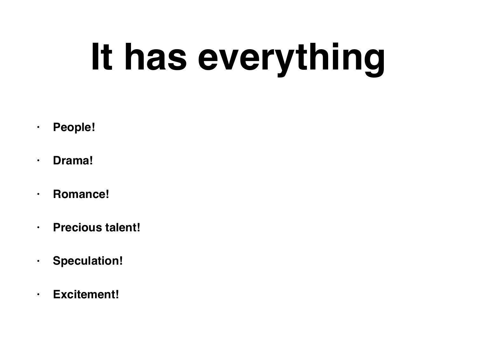# **It has everything**

- **• People!**
- **• Drama!**
- **• Romance!**
- **• Precious talent!**
- **• Speculation!**
- **• Excitement!**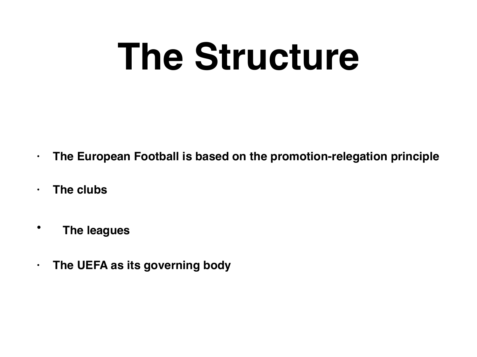# **The Structure**

- **• The European Football is based on the promotion-relegation principle**
- **• The clubs**
- **The leagues**
- **• The UEFA as its governing body**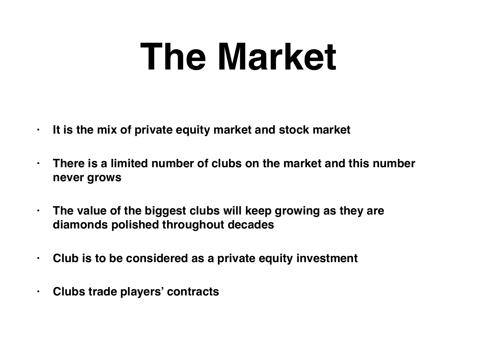## **The Market**

- **• It is the mix of private equity market and stock market**
- **• There is a limited number of clubs on the market and this number never grows**
- **• The value of the biggest clubs will keep growing as they are diamonds polished throughout decades**
- **• Club is to be considered as a private equity investment**
- **• Clubs trade players' contracts**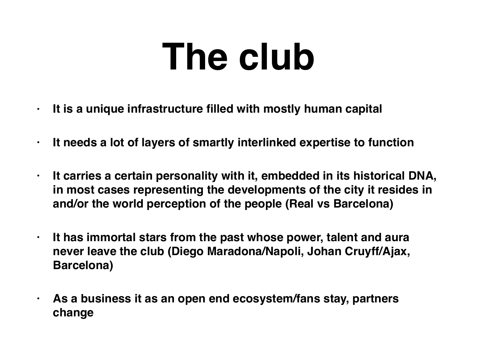## **The club**

- **• It is a unique infrastructure filled with mostly human capital**
- **• It needs a lot of layers of smartly interlinked expertise to function**
- **• It carries a certain personality with it, embedded in its historical DNA, in most cases representing the developments of the city it resides in and/or the world perception of the people (Real vs Barcelona)**
- **• It has immortal stars from the past whose power, talent and aura never leave the club (Diego Maradona/Napoli, Johan Cruyff/Ajax, Barcelona)**
- **• As a business it as an open end ecosystem/fans stay, partners change**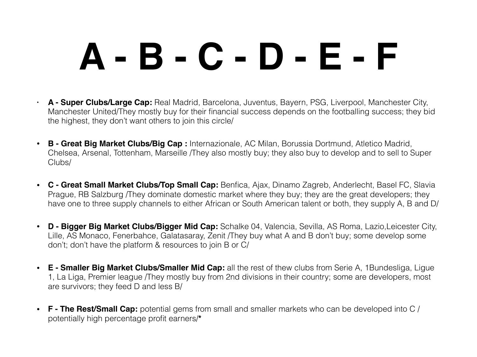# **A - B - C - D - E - F**

- **• A Super Clubs/Large Cap:** Real Madrid, Barcelona, Juventus, Bayern, PSG, Liverpool, Manchester City, Manchester United/They mostly buy for their financial success depends on the footballing success; they bid the highest, they don't want others to join this circle/
- **B - Great Big Market Clubs/Big Cap :** Internazionale, AC Milan, Borussia Dortmund, Atletico Madrid, Chelsea, Arsenal, Tottenham, Marseille /They also mostly buy; they also buy to develop and to sell to Super Clubs/
- **C Great Small Market Clubs/Top Small Cap:** Benfica, Ajax, Dinamo Zagreb, Anderlecht, Basel FC, Slavia Prague, RB Salzburg /They dominate domestic market where they buy; they are the great developers; they have one to three supply channels to either African or South American talent or both, they supply A, B and D/
- **D Bigger Big Market Clubs/Bigger Mid Cap:** Schalke 04, Valencia, Sevilla, AS Roma, Lazio,Leicester City, Lille, AS Monaco, Fenerbahce, Galatasaray, Zenit /They buy what A and B don't buy; some develop some don't; don't have the platform & resources to join B or C/
- **E Smaller Big Market Clubs/Smaller Mid Cap:** all the rest of thew clubs from Serie A, 1Bundesliga, Ligue 1, La Liga, Premier league /They mostly buy from 2nd divisions in their country; some are developers, most are survivors; they feed D and less B/
- **F The Rest/Small Cap:** potential gems from small and smaller markets who can be developed into C / potentially high percentage profit earners/**\***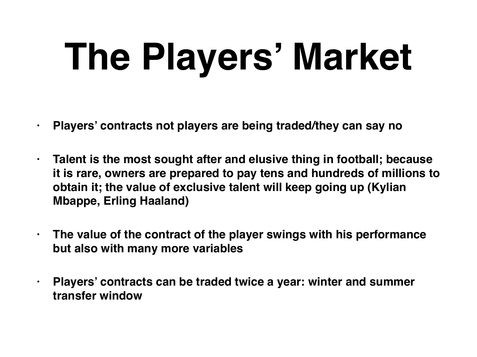# **The Players' Market**

- **• Players' contracts not players are being traded/they can say no**
- **• Talent is the most sought after and elusive thing in football; because it is rare, owners are prepared to pay tens and hundreds of millions to obtain it; the value of exclusive talent will keep going up (Kylian Mbappe, Erling Haaland)**
- **• The value of the contract of the player swings with his performance but also with many more variables**
- **• Players' contracts can be traded twice a year: winter and summer transfer window**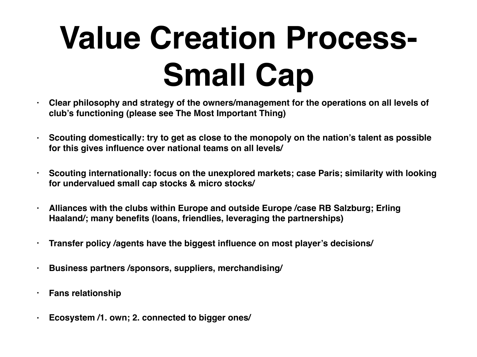### **Value Creation Process-Small Cap**

- **• Clear philosophy and strategy of the owners/management for the operations on all levels of club's functioning (please see The Most Important Thing)**
- **• Scouting domestically: try to get as close to the monopoly on the nation's talent as possible for this gives influence over national teams on all levels/**
- **• Scouting internationally: focus on the unexplored markets; case Paris; similarity with looking for undervalued small cap stocks & micro stocks/**
- **• Alliances with the clubs within Europe and outside Europe /case RB Salzburg; Erling Haaland/; many benefits (loans, friendlies, leveraging the partnerships)**
- **• Transfer policy /agents have the biggest influence on most player's decisions/**
- **• Business partners /sponsors, suppliers, merchandising/**
- **• Fans relationship**
- **• Ecosystem /1. own; 2. connected to bigger ones/**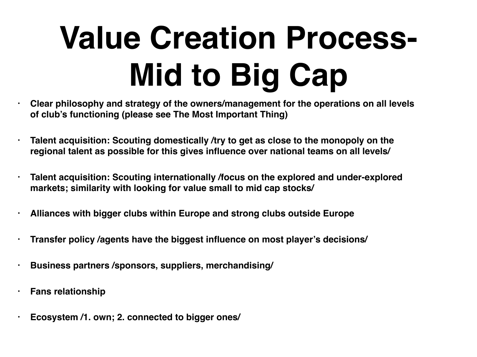### **Value Creation Process-Mid to Big Cap**

- **• Clear philosophy and strategy of the owners/management for the operations on all levels of club's functioning (please see The Most Important Thing)**
- **• Talent acquisition: Scouting domestically /try to get as close to the monopoly on the regional talent as possible for this gives influence over national teams on all levels/**
- **• Talent acquisition: Scouting internationally /focus on the explored and under-explored markets; similarity with looking for value small to mid cap stocks/**
- **• Alliances with bigger clubs within Europe and strong clubs outside Europe**
- **• Transfer policy /agents have the biggest influence on most player's decisions/**
- **• Business partners /sponsors, suppliers, merchandising/**
- **• Fans relationship**
- **• Ecosystem /1. own; 2. connected to bigger ones/**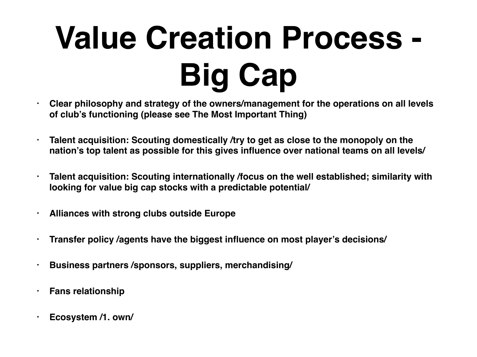## **Value Creation Process - Big Cap**

- **• Clear philosophy and strategy of the owners/management for the operations on all levels of club's functioning (please see The Most Important Thing)**
	- **• Talent acquisition: Scouting domestically /try to get as close to the monopoly on the nation's top talent as possible for this gives influence over national teams on all levels/**
- **• Talent acquisition: Scouting internationally /focus on the well established; similarity with looking for value big cap stocks with a predictable potential/**
- **• Alliances with strong clubs outside Europe**
- **• Transfer policy /agents have the biggest influence on most player's decisions/**
- **• Business partners /sponsors, suppliers, merchandising/**
- **• Fans relationship**
- **• Ecosystem /1. own/**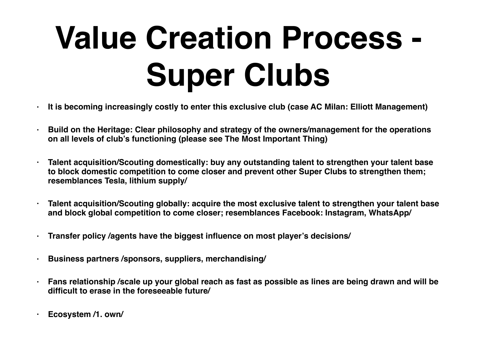### **Value Creation Process - Super Clubs**

- **• It is becoming increasingly costly to enter this exclusive club (case AC Milan: Elliott Management)**
- **• Build on the Heritage: Clear philosophy and strategy of the owners/management for the operations on all levels of club's functioning (please see The Most Important Thing)**
- **• Talent acquisition/Scouting domestically: buy any outstanding talent to strengthen your talent base to block domestic competition to come closer and prevent other Super Clubs to strengthen them; resemblances Tesla, lithium supply/**
- **• Talent acquisition/Scouting globally: acquire the most exclusive talent to strengthen your talent base and block global competition to come closer; resemblances Facebook: Instagram, WhatsApp/**
- **• Transfer policy /agents have the biggest influence on most player's decisions/**
- **• Business partners /sponsors, suppliers, merchandising/**
- **• Fans relationship /scale up your global reach as fast as possible as lines are being drawn and will be difficult to erase in the foreseeable future/**
- **• Ecosystem /1. own/**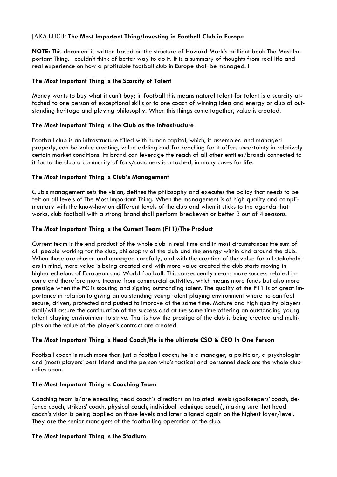### JAKA LUCU: **The Most Important Thing/Investing in Football Club in Europe**

**NOTE:** This document is written based on the structure of Howard Mark's brilliant book The Most Important Thing. I couldn't think of better way to do it. It is a summary of thoughts from real life and real experience on how a profitable football club in Europe shall be managed. I

### **The Most Important Thing is the Scarcity of Talent**

Money wants to buy what it can't buy; in football this means natural talent for talent is a scarcity attached to one person of exceptional skills or to one coach of winning idea and energy or club of outstanding heritage and playing philosophy. When this things come together, value is created.

### **The Most Important Thing Is the Club as the Infrastructure**

Football club is an infrastructure filled with human capital, which, if assembled and managed properly, can be value creating, value adding and far reaching for it offers uncertainty in relatively certain market conditions. Its brand can leverage the reach of all other entities/brands connected to it for to the club a community of fans/customers is attached, in many cases for life.

### **The Most Important Thing Is Club's Management**

Club's management sets the vision, defines the philosophy and executes the policy that needs to be felt on all levels of The Most Important Thing. When the management is of high quality and complimentary with the know-how on different levels of the club and when it sticks to the agenda that works, club football with a strong brand shall perform breakeven or better 3 out of 4 seasons.

### **The Most Important Thing Is the Current Team (F11)/The Product**

Current team is the end product of the whole club in real time and in most circumstances the sum of all people working for the club, philosophy of the club and the energy within and around the club. When those are chosen and managed carefully, and with the creation of the value for all stakeholders in mind, more value is being created and with more value created the club starts moving in higher echelons of European and World football. This consequently means more success related income and therefore more income from commercial activities, which means more funds but also more prestige when the FC is scouting and signing outstanding talent. The quality of the F11 is of great importance in relation to giving an outstanding young talent playing environment where he can feel secure, driven, protected and pushed to improve at the same time. Mature and high quality players shall/will assure the continuation of the success and at the same time offering an outstanding young talent playing environment to strive. That is how the prestige of the club is being created and multiples on the value of the player's contract are created.

### **The Most Important Thing Is Head Coach/He is the ultimate CSO & CEO In One Person**

Football coach is much more than just a football coach; he is a manager, a politician, a psychologist and (most) players' best friend and the person who's tactical and personnel decisions the whole club relies upon.

### **The Most Important Thing Is Coaching Team**

Coaching team is/are executing head coach's directions on isolated levels (goalkeepers' coach, defence coach, strikers' coach, physical coach, individual technique coach), making sure that head coach's vision is being applied on those levels and later aligned again on the highest layer/level. They are the senior managers of the footballing operation of the club.

### **The Most Important Thing Is the Stadium**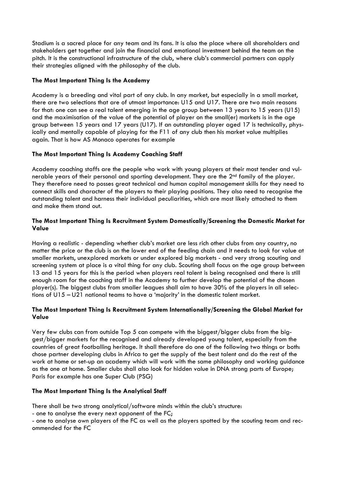Stadium is a sacred place for any team and its fans. It is also the place where all shareholders and stakeholders get together and join the financial and emotional investment behind the team on the pitch. It is the constructional infrastructure of the club, where club's commercial partners can apply their strategies aligned with the philosophy of the club.

### **The Most Important Thing Is the Academy**

Academy is a breeding and vital part of any club. In any market, but especially in a small market, there are two selections that are of utmost importance: U15 and U17. There are two main reasons for that: one can see a real talent emerging in the age group between 13 years to 15 years (U15) and the maximisation of the value of the potential of player on the small(er) markets is in the age group between 15 years and 17 years (U17). If an outstanding player aged 17 is technically, physically and mentally capable of playing for the F11 of any club then his market value multiplies again. That is how AS Monaco operates for example

### **The Most Important Thing Is Academy Coaching Staff**

Academy coaching staffs are the people who work with young players at their most tender and vulnerable years of their personal and sporting development. They are the 2<sup>nd</sup> family of the player. They therefore need to posses great technical and human capital management skills for they need to connect skills and character of the players to their playing positions. They also need to recognise the outstanding talent and harness their individual peculiarities, which are most likely attached to them and make them stand out.

### **The Most Important Thing Is Recruitment System Domestically/Screening the Domestic Market for Value**

Having a realistic - depending whether club's market are less rich other clubs from any country, no matter the price or the club is on the lower end of the feeding chain and it needs to look for value at smaller markets, unexplored markets or under explored big markets - and very strong scouting and screening system at place is a vital thing for any club. Scouting shall focus on the age group between 13 and 15 years for this is the period when players real talent is being recognised and there is still enough room for the coaching staff in the Academy to further develop the potential of the chosen player(s). The biggest clubs from smaller leagues shall aim to have 30% of the players in all selections of U15 – U21 national teams to have a 'majority' in the domestic talent market.

### **The Most Important Thing Is Recruitment System Internationally/Screening the Global Market for Value**

Very few clubs can from outside Top 5 can compete with the biggest/bigger clubs from the biggest/bigger markets for the recognised and already developed young talent, especially from the countries of great footballing heritage. It shall therefore do one of the following two things or both: chose partner developing clubs in Africa to get the supply of the best talent and do the rest of the work at home or set-up an academy which will work with the same philosophy and working guidance as the one at home. Smaller clubs shall also look for hidden value in DNA strong parts of Europe; Paris for example has one Super Club (PSG)

### **The Most Important Thing Is the Analytical Staff**

There shall be two strong analytical/software minds within the club's structure:

- one to analyse the every next opponent of the FC;

- one to analyse own players of the FC as well as the players spotted by the scouting team and recommended for the FC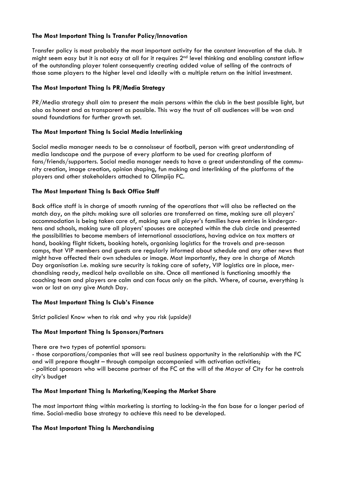### **The Most Important Thing Is Transfer Policy/Innovation**

Transfer policy is most probably the most important activity for the constant innovation of the club. It might seem easy but it is not easy at all for it requires 2<sup>nd</sup> level thinking and enabling constant inflow of the outstanding player talent consequently creating added value of selling of the contracts of those same players to the higher level and ideally with a multiple return on the initial investment.

### **The Most Important Thing Is PR/Media Strategy**

PR/Media strategy shall aim to present the main persons within the club in the best possible light, but also as honest and as transparent as possible. This way the trust of all audiences will be won and sound foundations for further growth set.

### **The Most Important Thing Is Social Media Interlinking**

Social media manager needs to be a connoisseur of football, person with great understanding of media landscape and the purpose of every platform to be used for creating platform of fans/friends/supporters. Social media manager needs to have a great understanding of the community creation, image creation, opinion shaping, fun making and interlinking of the platforms of the players and other stakeholders attached to Olimpija FC.

### **The Most Important Thing Is Back Office Staff**

Back office staff is in charge of smooth running of the operations that will also be reflected on the match day, on the pitch: making sure all salaries are transferred on time, making sure all players' accommodation is being taken care of, making sure all player's families have entries in kindergartens and schools, making sure all players' spouses are accepted within the club circle and presented the possibilities to become members of international associations, having advice on tax matters at hand, booking flight tickets, booking hotels, organising logistics for the travels and pre-season camps, that VIP members and guests are regularly informed about schedule and any other news that might have affected their own schedules or image. Most importantly, they are in charge of Match Day organisation i.e. making sure security is taking care of safety, VIP logistics are in place, merchandising ready, medical help available on site. Once all mentioned is functioning smoothly the coaching team and players are calm and can focus only on the pitch. Where, of course, everything is won or lost on any give Match Day.

### **The Most Important Thing Is Club's Finance**

Strict policies! Know when to risk and why you risk (upside)!

### **The Most Important Thing Is Sponsors/Partners**

There are two types of potential sponsors:

- those corporations/companies that will see real business opportunity in the relationship with the FC and will prepare thought – through campaign accompanied with activation activities; - political sponsors who will become partner of the FC at the will of the Mayor of City for he controls city's budget

### **The Most Important Thing Is Marketing/Keeping the Market Share**

The most important thing within marketing is starting to locking-in the fan base for a longer period of time. Social-media base strategy to achieve this need to be developed.

### **The Most Important Thing Is Merchandising**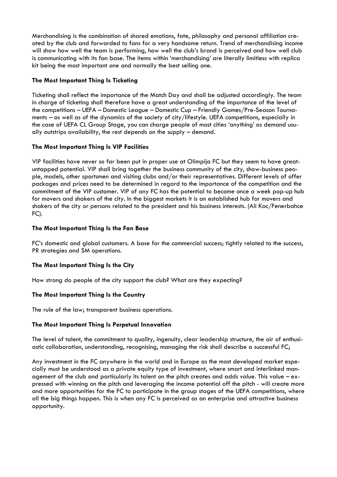Merchandising is the combination of shared emotions, fate, philosophy and personal affiliation created by the club and forwarded to fans for a very handsome return. Trend of merchandising income will show how well the team is performing, how well the club's brand is perceived and how well club is communicating with its fan base. The items within 'merchandising' are literally limitless with replica kit being the most important one and normally the best selling one.

### **The Most Important Thing Is Ticketing**

Ticketing shall reflect the importance of the Match Day and shall be adjusted accordingly. The team in charge of ticketing shall therefore have a great understanding of the importance of the level of the competitions – UEFA – Domestic League – Domestic Cup – Friendly Games/Pre-Season Tournaments – as well as of the dynamics of the society of city/lifestyle. UEFA competitions, especially in the case of UEFA CL Group Stage, you can charge people of most cities 'anything' as demand usually outstrips availability, the rest depends on the supply – demand.

### **The Most Important Thing Is VIP Facilities**

VIP facilities have never so far been put in proper use at Olimpija FC but they seem to have greatuntapped potential. VIP shall bring together the business community of the city, show-business people, models, other sportsmen and visiting clubs and/or their representatives. Different levels of offer packages and prices need to be determined in regard to the importance of the competition and the commitment of the VIP customer. VIP of any FC has the potential to become once a week pop-up hub for movers and shakers of the city. In the biggest markets it is an established hub for movers and shakers of the city or persons related to the president and his business interests. (Ali Koc/Fenerbahce FC).

### **The Most Important Thing Is the Fan Base**

FC's domestic and global customers. A base for the commercial success; tightly related to the success, PR strategies and SM operations.

### **The Most Important Thing Is the City**

How strong do people of the city support the club? What are they expecting?

### **The Most Important Thing Is the Country**

The rule of the law; transparent business operations.

### **The Most Important Thing Is Perpetual Innovation**

The level of talent, the commitment to quality, ingenuity, clear leadership structure, the air of enthusiastic collaboration, understanding, recognising, managing the risk shall describe a successful FC;

Any investment in the FC anywhere in the world and in Europe as the most developed market especially must be understood as a private equity type of investment, where smart and interlinked management of the club and particularly its talent on the pitch creates and adds value. This value – expressed with winning on the pitch and leveraging the income potential off the pitch - will create more and more opportunities for the FC to participate in the group stages of the UEFA competitions, where all the big things happen. This is when any FC is perceived as an enterprise and attractive business opportunity.